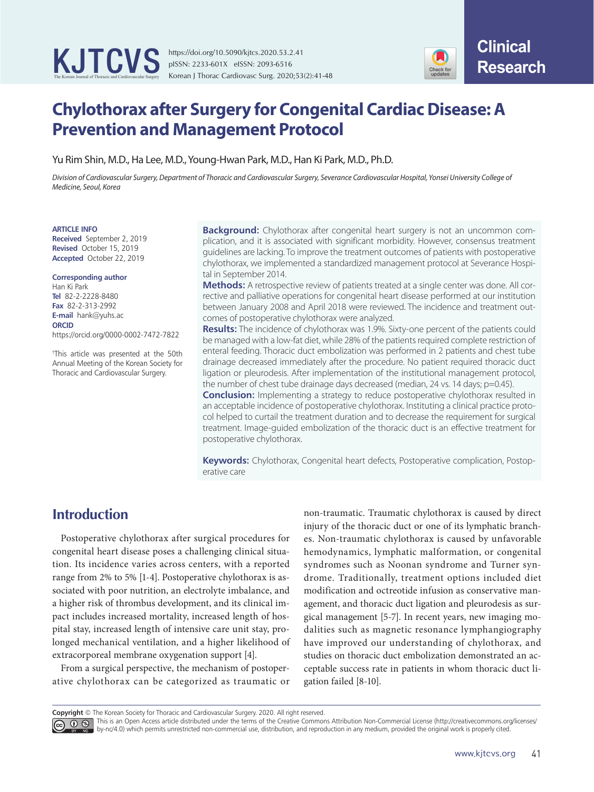

https://doi.org/10.5090/kjtcs.2020.53.2.41 pISSN: 2233-601X eISSN: 2093-6516 Korean J Thorac Cardiovasc Surg. 2020;53(2):41-48



# **Chylothorax after Surgery for Congenital Cardiac Disease: A Prevention and Management Protocol**

Yu Rim Shin, M.D., Ha Lee, M.D., Young-Hwan Park, M.D., Han Ki Park, M.D., Ph.D.

*Division of Cardiovascular Surgery, Department of Thoracic and Cardiovascular Surgery, Severance Cardiovascular Hospital, Yonsei University College of Medicine, Seoul, Korea*

#### **ARTICLE INFO**

**Received** September 2, 2019 **Revised** October 15, 2019 **Accepted** October 22, 2019

#### **Corresponding author**

Han Ki Park **Tel** 82-2-2228-8480 **Fax** 82-2-313-2992 **E-mail** hank@yuhs.ac **ORCID** https://orcid.org/0000-0002-7472-7822

† This article was presented at the 50th Annual Meeting of the Korean Society for Thoracic and Cardiovascular Surgery.

**Background:** Chylothorax after congenital heart surgery is not an uncommon complication, and it is associated with significant morbidity. However, consensus treatment guidelines are lacking. To improve the treatment outcomes of patients with postoperative chylothorax, we implemented a standardized management protocol at Severance Hospital in September 2014.

**Methods:** A retrospective review of patients treated at a single center was done. All corrective and palliative operations for congenital heart disease performed at our institution between January 2008 and April 2018 were reviewed. The incidence and treatment outcomes of postoperative chylothorax were analyzed.

**Results:** The incidence of chylothorax was 1.9%. Sixty-one percent of the patients could be managed with a low-fat diet, while 28% of the patients required complete restriction of enteral feeding. Thoracic duct embolization was performed in 2 patients and chest tube drainage decreased immediately after the procedure. No patient required thoracic duct ligation or pleurodesis. After implementation of the institutional management protocol, the number of chest tube drainage days decreased (median, 24 vs. 14 days; p=0.45).

**Conclusion:** Implementing a strategy to reduce postoperative chylothorax resulted in an acceptable incidence of postoperative chylothorax. Instituting a clinical practice protocol helped to curtail the treatment duration and to decrease the requirement for surgical treatment. Image-guided embolization of the thoracic duct is an effective treatment for postoperative chylothorax.

**Keywords:** Chylothorax, Congenital heart defects, Postoperative complication, Postoperative care

# **Introduction**

Postoperative chylothorax after surgical procedures for congenital heart disease poses a challenging clinical situation. Its incidence varies across centers, with a reported range from 2% to 5% [1-4]. Postoperative chylothorax is associated with poor nutrition, an electrolyte imbalance, and a higher risk of thrombus development, and its clinical impact includes increased mortality, increased length of hospital stay, increased length of intensive care unit stay, prolonged mechanical ventilation, and a higher likelihood of extracorporeal membrane oxygenation support [4].

From a surgical perspective, the mechanism of postoperative chylothorax can be categorized as traumatic or non-traumatic. Traumatic chylothorax is caused by direct injury of the thoracic duct or one of its lymphatic branches. Non-traumatic chylothorax is caused by unfavorable hemodynamics, lymphatic malformation, or congenital syndromes such as Noonan syndrome and Turner syndrome. Traditionally, treatment options included diet modification and octreotide infusion as conservative management, and thoracic duct ligation and pleurodesis as surgical management [5-7]. In recent years, new imaging modalities such as magnetic resonance lymphangiography have improved our understanding of chylothorax, and studies on thoracic duct embolization demonstrated an acceptable success rate in patients in whom thoracic duct ligation failed [8-10].

**Copyright** © The Korean Society for Thoracic and Cardiovascular Surgery. 2020. All right reserved.

This is an Open Access article distributed under the terms of the Creative Commons Attribution Non-Commercial License (http://creativecommons.org/licenses/ by-nc/4.0) which permits unrestricted non-commercial use, distribution, and reproduction in any medium, provided the original work is properly cited.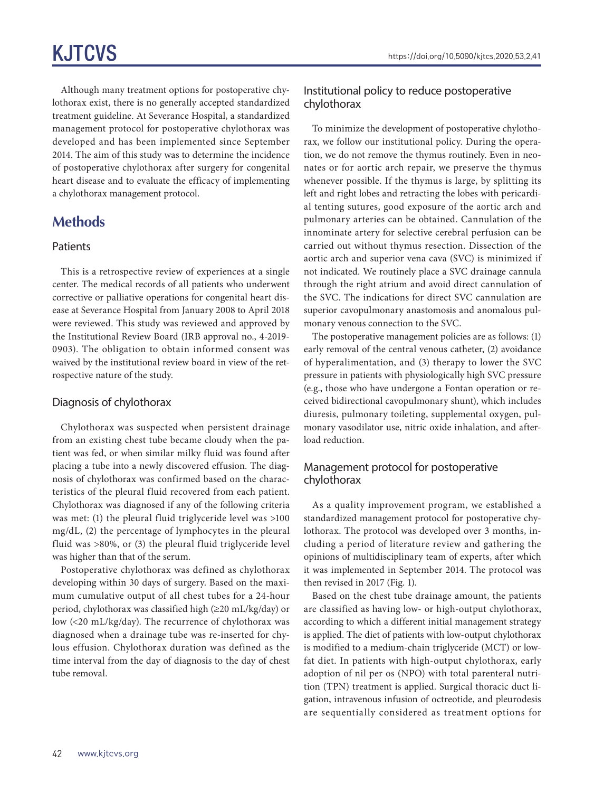Although many treatment options for postoperative chylothorax exist, there is no generally accepted standardized treatment guideline. At Severance Hospital, a standardized management protocol for postoperative chylothorax was developed and has been implemented since September 2014. The aim of this study was to determine the incidence of postoperative chylothorax after surgery for congenital heart disease and to evaluate the efficacy of implementing a chylothorax management protocol.

# **Methods**

#### **Patients**

This is a retrospective review of experiences at a single center. The medical records of all patients who underwent corrective or palliative operations for congenital heart disease at Severance Hospital from January 2008 to April 2018 were reviewed. This study was reviewed and approved by the Institutional Review Board (IRB approval no., 4-2019- 0903). The obligation to obtain informed consent was waived by the institutional review board in view of the retrospective nature of the study.

#### Diagnosis of chylothorax

Chylothorax was suspected when persistent drainage from an existing chest tube became cloudy when the patient was fed, or when similar milky fluid was found after placing a tube into a newly discovered effusion. The diagnosis of chylothorax was confirmed based on the characteristics of the pleural fluid recovered from each patient. Chylothorax was diagnosed if any of the following criteria was met: (1) the pleural fluid triglyceride level was >100 mg/dL, (2) the percentage of lymphocytes in the pleural fluid was >80%, or (3) the pleural fluid triglyceride level was higher than that of the serum.

Postoperative chylothorax was defined as chylothorax developing within 30 days of surgery. Based on the maximum cumulative output of all chest tubes for a 24-hour period, chylothorax was classified high (≥20 mL/kg/day) or low (<20 mL/kg/day). The recurrence of chylothorax was diagnosed when a drainage tube was re-inserted for chylous effusion. Chylothorax duration was defined as the time interval from the day of diagnosis to the day of chest tube removal.

### Institutional policy to reduce postoperative chylothorax

To minimize the development of postoperative chylothorax, we follow our institutional policy. During the operation, we do not remove the thymus routinely. Even in neonates or for aortic arch repair, we preserve the thymus whenever possible. If the thymus is large, by splitting its left and right lobes and retracting the lobes with pericardial tenting sutures, good exposure of the aortic arch and pulmonary arteries can be obtained. Cannulation of the innominate artery for selective cerebral perfusion can be carried out without thymus resection. Dissection of the aortic arch and superior vena cava (SVC) is minimized if not indicated. We routinely place a SVC drainage cannula through the right atrium and avoid direct cannulation of the SVC. The indications for direct SVC cannulation are superior cavopulmonary anastomosis and anomalous pulmonary venous connection to the SVC.

The postoperative management policies are as follows: (1) early removal of the central venous catheter, (2) avoidance of hyperalimentation, and (3) therapy to lower the SVC pressure in patients with physiologically high SVC pressure (e.g., those who have undergone a Fontan operation or received bidirectional cavopulmonary shunt), which includes diuresis, pulmonary toileting, supplemental oxygen, pulmonary vasodilator use, nitric oxide inhalation, and afterload reduction.

#### Management protocol for postoperative chylothorax

As a quality improvement program, we established a standardized management protocol for postoperative chylothorax. The protocol was developed over 3 months, including a period of literature review and gathering the opinions of multidisciplinary team of experts, after which it was implemented in September 2014. The protocol was then revised in 2017 (Fig. 1).

Based on the chest tube drainage amount, the patients are classified as having low- or high-output chylothorax, according to which a different initial management strategy is applied. The diet of patients with low-output chylothorax is modified to a medium-chain triglyceride (MCT) or lowfat diet. In patients with high-output chylothorax, early adoption of nil per os (NPO) with total parenteral nutrition (TPN) treatment is applied. Surgical thoracic duct ligation, intravenous infusion of octreotide, and pleurodesis are sequentially considered as treatment options for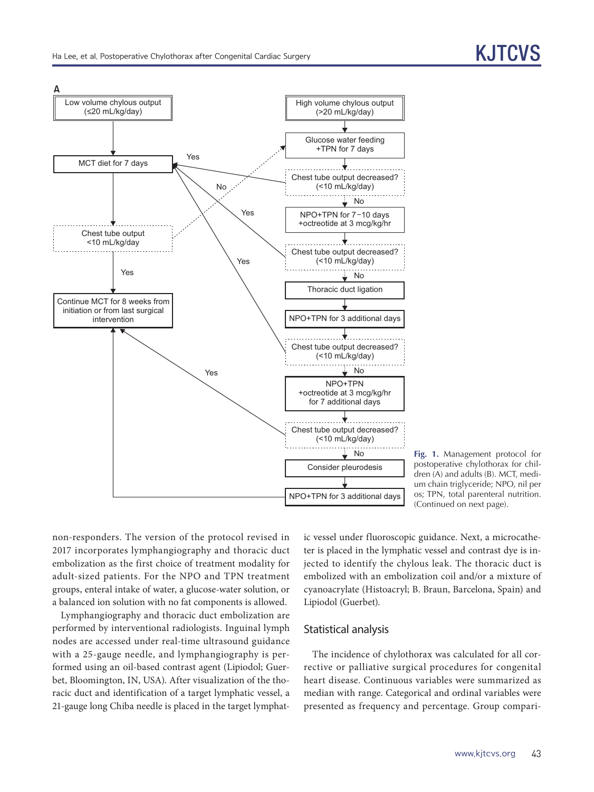

**Fig. 1.** Management protocol for postoperative chylothorax for children (A) and adults (B). MCT, medium chain triglyceride; NPO, nil per os; TPN, total parenteral nutrition. (Continued on next page).

non-responders. The version of the protocol revised in 2017 incorporates lymphangiography and thoracic duct embolization as the first choice of treatment modality for adult-sized patients. For the NPO and TPN treatment groups, enteral intake of water, a glucose-water solution, or a balanced ion solution with no fat components is allowed.

Lymphangiography and thoracic duct embolization are performed by interventional radiologists. Inguinal lymph nodes are accessed under real-time ultrasound guidance with a 25-gauge needle, and lymphangiography is performed using an oil-based contrast agent (Lipiodol; Guerbet, Bloomington, IN, USA). After visualization of the thoracic duct and identification of a target lymphatic vessel, a 21-gauge long Chiba needle is placed in the target lymphat-

ic vessel under fluoroscopic guidance. Next, a microcatheter is placed in the lymphatic vessel and contrast dye is injected to identify the chylous leak. The thoracic duct is embolized with an embolization coil and/or a mixture of cyanoacrylate (Histoacryl; B. Braun, Barcelona, Spain) and Lipiodol (Guerbet).

#### Statistical analysis

The incidence of chylothorax was calculated for all corrective or palliative surgical procedures for congenital heart disease. Continuous variables were summarized as median with range. Categorical and ordinal variables were presented as frequency and percentage. Group compari-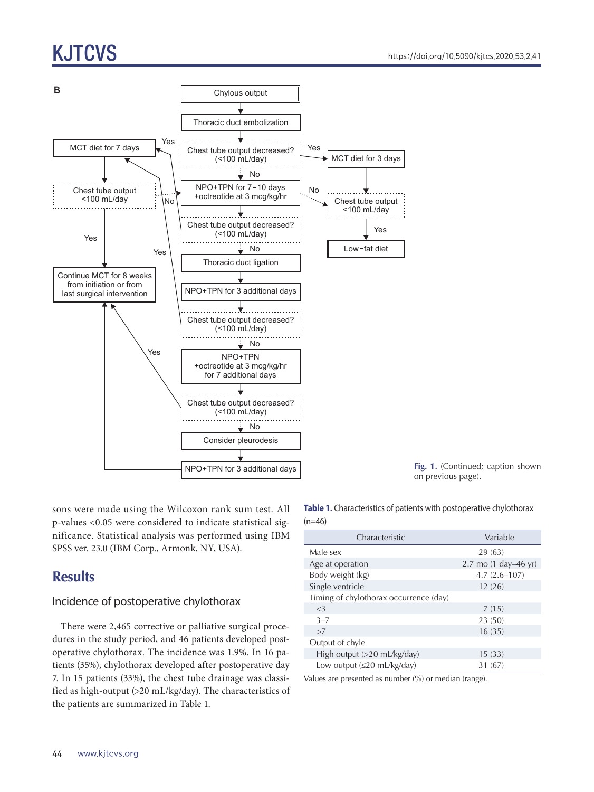# KJTCVS



sons were made using the Wilcoxon rank sum test. All p-values <0.05 were considered to indicate statistical significance. Statistical analysis was performed using IBM SPSS ver. 23.0 (IBM Corp., Armonk, NY, USA).

# **Results**

## Incidence of postoperative chylothorax

There were 2,465 corrective or palliative surgical procedures in the study period, and 46 patients developed postoperative chylothorax. The incidence was 1.9%. In 16 patients (35%), chylothorax developed after postoperative day 7. In 15 patients (33%), the chest tube drainage was classified as high-output (>20 mL/kg/day). The characteristics of the patients are summarized in Table 1.

**Table 1.** Characteristics of patients with postoperative chylothorax  $(n=46)$ 

**Fig. 1.** (Continued; caption shown

on previous page).

| Characteristic                           | Variable             |  |
|------------------------------------------|----------------------|--|
| Male sex                                 | 29(63)               |  |
| Age at operation                         | 2.7 mo (1 day–46 yr) |  |
| Body weight (kg)                         | $4.7(2.6 - 107)$     |  |
| Single ventricle                         | 12(26)               |  |
| Timing of chylothorax occurrence (day)   |                      |  |
| $<$ 3                                    | 7(15)                |  |
| $3 - 7$                                  | 23 (50)              |  |
| >7                                       | 16(35)               |  |
| Output of chyle                          |                      |  |
| High output (>20 mL/kg/day)              | 15(33)               |  |
| Low output $(\leq 20 \text{ mL/kg/day})$ | 31 (67)              |  |

Values are presented as number (%) or median (range).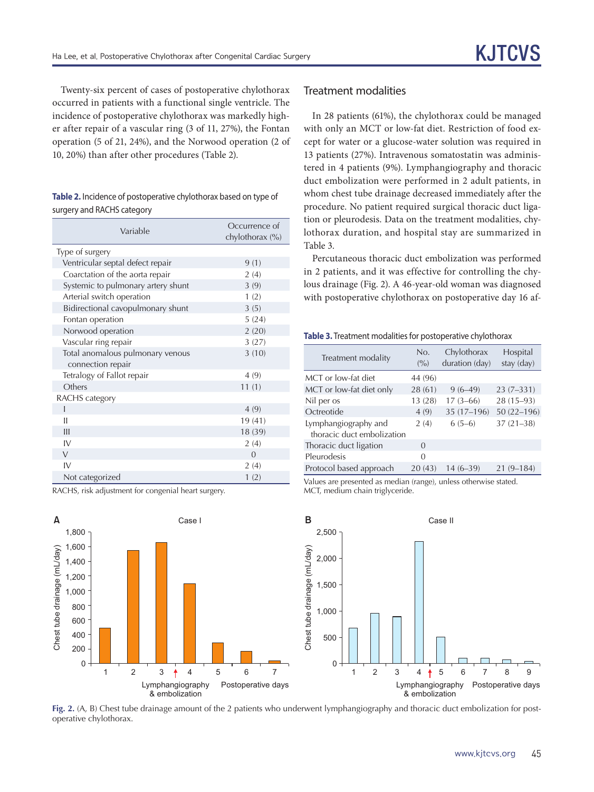Twenty-six percent of cases of postoperative chylothorax occurred in patients with a functional single ventricle. The incidence of postoperative chylothorax was markedly higher after repair of a vascular ring (3 of 11, 27%), the Fontan operation (5 of 21, 24%), and the Norwood operation (2 of 10, 20%) than after other procedures (Table 2).

**Table 2.** Incidence of postoperative chylothorax based on type of surgery and RACHS category

| Variable                           | Occurrence of<br>chylothorax (%) |
|------------------------------------|----------------------------------|
| Type of surgery                    |                                  |
| Ventricular septal defect repair   | 9(1)                             |
| Coarctation of the aorta repair    | 2(4)                             |
| Systemic to pulmonary artery shunt | 3(9)                             |
| Arterial switch operation          | 1(2)                             |
| Bidirectional cavopulmonary shunt  | 3(5)                             |
| Fontan operation                   | 5(24)                            |
| Norwood operation                  | 2(20)                            |
| Vascular ring repair               | 3(27)                            |
| Total anomalous pulmonary venous   | 3(10)                            |
| connection repair                  |                                  |
| Tetralogy of Fallot repair         | 4(9)                             |
| Others                             | 11(1)                            |
| RACHS category                     |                                  |
| I                                  | 4(9)                             |
| Ш                                  | 19(41)                           |
| III                                | 18 (39)                          |
| IV                                 | 2(4)                             |
| $\vee$                             | $\Omega$                         |
| IV                                 | 2(4)                             |
| Not categorized                    | 1(2)                             |

RACHS, risk adjustment for congenial heart surgery.

#### Treatment modalities

In 28 patients (61%), the chylothorax could be managed with only an MCT or low-fat diet. Restriction of food except for water or a glucose-water solution was required in 13 patients (27%). Intravenous somatostatin was administered in 4 patients (9%). Lymphangiography and thoracic duct embolization were performed in 2 adult patients, in whom chest tube drainage decreased immediately after the procedure. No patient required surgical thoracic duct ligation or pleurodesis. Data on the treatment modalities, chylothorax duration, and hospital stay are summarized in Table 3.

Percutaneous thoracic duct embolization was performed in 2 patients, and it was effective for controlling the chylous drainage (Fig. 2). A 46-year-old woman was diagnosed with postoperative chylothorax on postoperative day 16 af-

#### **Table 3.** Treatment modalities for postoperative chylothorax

| Treatment modality                                 | No.<br>(9/0) | Chylothorax<br>duration (day) | Hospital<br>stay (day) |
|----------------------------------------------------|--------------|-------------------------------|------------------------|
| MCT or low-fat diet                                | 44 (96)      |                               |                        |
| MCT or low-fat diet only                           | 28(61)       | $9(6-49)$                     | $23(7-331)$            |
| Nil per os                                         | 13 (28)      | $17(3-66)$                    | $28(15-93)$            |
| Octreotide                                         | 4(9)         | $35(17-196)$                  | $50(22 - 196)$         |
| Lymphangiography and<br>thoracic duct embolization | 2(4)         | $6(5-6)$                      | $37(21-38)$            |
| Thoracic duct ligation                             | 0            |                               |                        |
| Pleurodesis                                        | 0            |                               |                        |
| Protocol based approach                            | 20(43)       | $14(6-39)$                    | $21(9-184)$            |

Values are presented as median (range), unless otherwise stated. MCT, medium chain triglyceride.



**Fig. 2.** (A, B) Chest tube drainage amount of the 2 patients who underwent lymphangiography and thoracic duct embolization for postoperative chylothorax.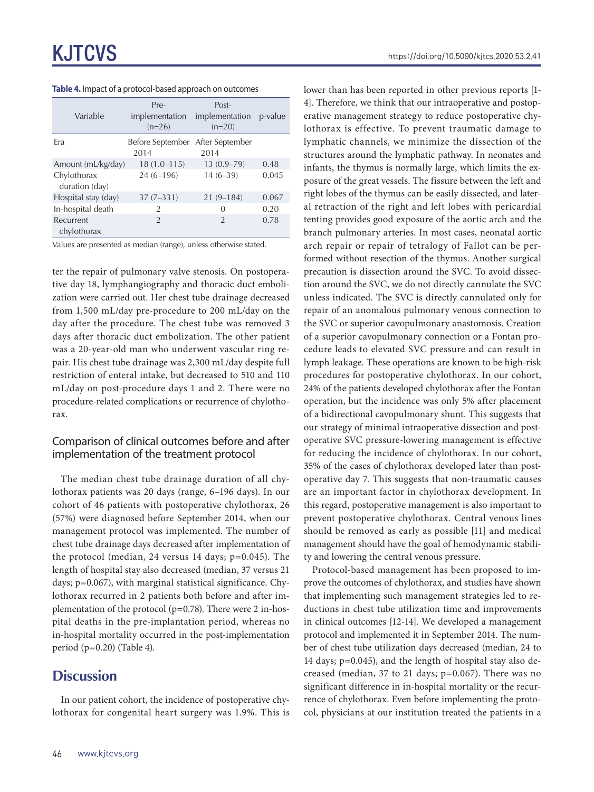| Variable                      | Pre-<br>implementation<br>$(n=26)$       | Post-<br>implementation<br>$(n=20)$ | p-value |
|-------------------------------|------------------------------------------|-------------------------------------|---------|
| Era                           | Before September After September<br>2014 | 2014                                |         |
| Amount (mL/kg/day)            | $18(1.0 - 115)$                          | $13(0.9 - 79)$                      | 0.48    |
| Chylothorax<br>duration (day) | $24(6 - 196)$                            | $14(6-39)$                          | 0.045   |
| Hospital stay (day)           | $37(7-331)$                              | $21(9 - 184)$                       | 0.067   |
| In-hospital death             | 2                                        | 0                                   | 0.20    |
| Recurrent<br>chylothorax      | $\mathfrak{D}$                           | $\overline{2}$                      | 0.78    |

| Table 4. Impact of a protocol-based approach on outcomes |  |  |  |  |  |
|----------------------------------------------------------|--|--|--|--|--|
|----------------------------------------------------------|--|--|--|--|--|

Values are presented as median (range), unless otherwise stated.

ter the repair of pulmonary valve stenosis. On postoperative day 18, lymphangiography and thoracic duct embolization were carried out. Her chest tube drainage decreased from 1,500 mL/day pre-procedure to 200 mL/day on the day after the procedure. The chest tube was removed 3 days after thoracic duct embolization. The other patient was a 20-year-old man who underwent vascular ring repair. His chest tube drainage was 2,300 mL/day despite full restriction of enteral intake, but decreased to 510 and 110 mL/day on post-procedure days 1 and 2. There were no procedure-related complications or recurrence of chylothorax.

### Comparison of clinical outcomes before and after implementation of the treatment protocol

The median chest tube drainage duration of all chylothorax patients was 20 days (range, 6–196 days). In our cohort of 46 patients with postoperative chylothorax, 26 (57%) were diagnosed before September 2014, when our management protocol was implemented. The number of chest tube drainage days decreased after implementation of the protocol (median, 24 versus 14 days; p=0.045). The length of hospital stay also decreased (median, 37 versus 21 days; p=0.067), with marginal statistical significance. Chylothorax recurred in 2 patients both before and after implementation of the protocol (p=0.78). There were 2 in-hospital deaths in the pre-implantation period, whereas no in-hospital mortality occurred in the post-implementation period (p=0.20) (Table 4).

# **Discussion**

In our patient cohort, the incidence of postoperative chylothorax for congenital heart surgery was 1.9%. This is lower than has been reported in other previous reports [1- 4]. Therefore, we think that our intraoperative and postoperative management strategy to reduce postoperative chylothorax is effective. To prevent traumatic damage to lymphatic channels, we minimize the dissection of the structures around the lymphatic pathway. In neonates and infants, the thymus is normally large, which limits the exposure of the great vessels. The fissure between the left and right lobes of the thymus can be easily dissected, and lateral retraction of the right and left lobes with pericardial tenting provides good exposure of the aortic arch and the branch pulmonary arteries. In most cases, neonatal aortic arch repair or repair of tetralogy of Fallot can be performed without resection of the thymus. Another surgical precaution is dissection around the SVC. To avoid dissection around the SVC, we do not directly cannulate the SVC unless indicated. The SVC is directly cannulated only for repair of an anomalous pulmonary venous connection to the SVC or superior cavopulmonary anastomosis. Creation of a superior cavopulmonary connection or a Fontan procedure leads to elevated SVC pressure and can result in lymph leakage. These operations are known to be high-risk procedures for postoperative chylothorax. In our cohort, 24% of the patients developed chylothorax after the Fontan operation, but the incidence was only 5% after placement of a bidirectional cavopulmonary shunt. This suggests that our strategy of minimal intraoperative dissection and postoperative SVC pressure-lowering management is effective for reducing the incidence of chylothorax. In our cohort, 35% of the cases of chylothorax developed later than postoperative day 7. This suggests that non-traumatic causes are an important factor in chylothorax development. In this regard, postoperative management is also important to prevent postoperative chylothorax. Central venous lines should be removed as early as possible [11] and medical management should have the goal of hemodynamic stability and lowering the central venous pressure.

Protocol-based management has been proposed to improve the outcomes of chylothorax, and studies have shown that implementing such management strategies led to reductions in chest tube utilization time and improvements in clinical outcomes [12-14]. We developed a management protocol and implemented it in September 2014. The number of chest tube utilization days decreased (median, 24 to 14 days; p=0.045), and the length of hospital stay also decreased (median, 37 to 21 days; p=0.067). There was no significant difference in in-hospital mortality or the recurrence of chylothorax. Even before implementing the protocol, physicians at our institution treated the patients in a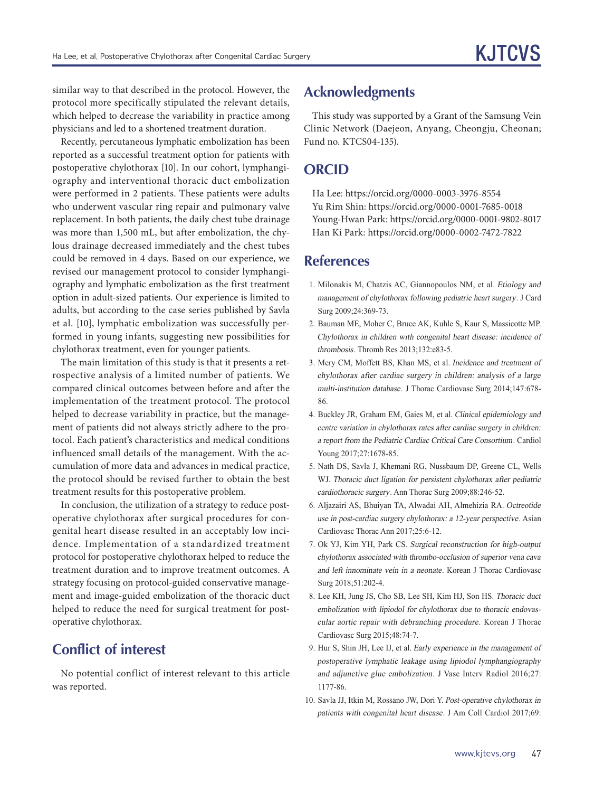similar way to that described in the protocol. However, the protocol more specifically stipulated the relevant details, which helped to decrease the variability in practice among physicians and led to a shortened treatment duration.

Recently, percutaneous lymphatic embolization has been reported as a successful treatment option for patients with postoperative chylothorax [10]. In our cohort, lymphangiography and interventional thoracic duct embolization were performed in 2 patients. These patients were adults who underwent vascular ring repair and pulmonary valve replacement. In both patients, the daily chest tube drainage was more than 1,500 mL, but after embolization, the chylous drainage decreased immediately and the chest tubes could be removed in 4 days. Based on our experience, we revised our management protocol to consider lymphangiography and lymphatic embolization as the first treatment option in adult-sized patients. Our experience is limited to adults, but according to the case series published by Savla et al. [10], lymphatic embolization was successfully performed in young infants, suggesting new possibilities for chylothorax treatment, even for younger patients.

The main limitation of this study is that it presents a retrospective analysis of a limited number of patients. We compared clinical outcomes between before and after the implementation of the treatment protocol. The protocol helped to decrease variability in practice, but the management of patients did not always strictly adhere to the protocol. Each patient's characteristics and medical conditions influenced small details of the management. With the accumulation of more data and advances in medical practice, the protocol should be revised further to obtain the best treatment results for this postoperative problem.

In conclusion, the utilization of a strategy to reduce postoperative chylothorax after surgical procedures for congenital heart disease resulted in an acceptably low incidence. Implementation of a standardized treatment protocol for postoperative chylothorax helped to reduce the treatment duration and to improve treatment outcomes. A strategy focusing on protocol-guided conservative management and image-guided embolization of the thoracic duct helped to reduce the need for surgical treatment for postoperative chylothorax.

# **Conflict of interest**

No potential conflict of interest relevant to this article was reported.

# **Acknowledgments**

This study was supported by a Grant of the Samsung Vein Clinic Network (Daejeon, Anyang, Cheongju, Cheonan; Fund no. KTCS04-135).

## **ORCID**

Ha Lee: https://orcid.org/0000-0003-3976-8554 Yu Rim Shin: https://orcid.org/0000-0001-7685-0018 Young-Hwan Park: https://orcid.org/0000-0001-9802-8017 Han Ki Park: https://orcid.org/0000-0002-7472-7822

## **References**

- 1. Milonakis M, Chatzis AC, Giannopoulos NM, et al. Etiology and management of chylothorax following pediatric heart surgery. J Card Surg 2009;24:369-73.
- 2. Bauman ME, Moher C, Bruce AK, Kuhle S, Kaur S, Massicotte MP. Chylothorax in children with congenital heart disease: incidence of thrombosis. Thromb Res 2013;132:e83-5.
- 3. Mery CM, Moffett BS, Khan MS, et al. Incidence and treatment of chylothorax after cardiac surgery in children: analysis of a large multi-institution database. J Thorac Cardiovasc Surg 2014;147:678- 86.
- 4. Buckley JR, Graham EM, Gaies M, et al. Clinical epidemiology and centre variation in chylothorax rates after cardiac surgery in children: a report from the Pediatric Cardiac Critical Care Consortium. Cardiol Young 2017;27:1678-85.
- 5. Nath DS, Savla J, Khemani RG, Nussbaum DP, Greene CL, Wells WJ. Thoracic duct ligation for persistent chylothorax after pediatric cardiothoracic surgery. Ann Thorac Surg 2009;88:246-52.
- 6. Aljazairi AS, Bhuiyan TA, Alwadai AH, Almehizia RA. Octreotide use in post-cardiac surgery chylothorax: a 12-year perspective. Asian Cardiovasc Thorac Ann 2017;25:6-12.
- 7. Ok YJ, Kim YH, Park CS. Surgical reconstruction for high-output chylothorax associated with thrombo-occlusion of superior vena cava and left innominate vein in a neonate. Korean J Thorac Cardiovasc Surg 2018;51:202-4.
- 8. Lee KH, Jung JS, Cho SB, Lee SH, Kim HJ, Son HS. Thoracic duct embolization with lipiodol for chylothorax due to thoracic endovascular aortic repair with debranching procedure. Korean J Thorac Cardiovasc Surg 2015;48:74-7.
- 9. Hur S, Shin JH, Lee IJ, et al. Early experience in the management of postoperative lymphatic leakage using lipiodol lymphangiography and adjunctive glue embolization. J Vasc Interv Radiol 2016;27: 1177-86.
- 10. Savla JJ, Itkin M, Rossano JW, Dori Y. Post-operative chylothorax in patients with congenital heart disease. J Am Coll Cardiol 2017;69: